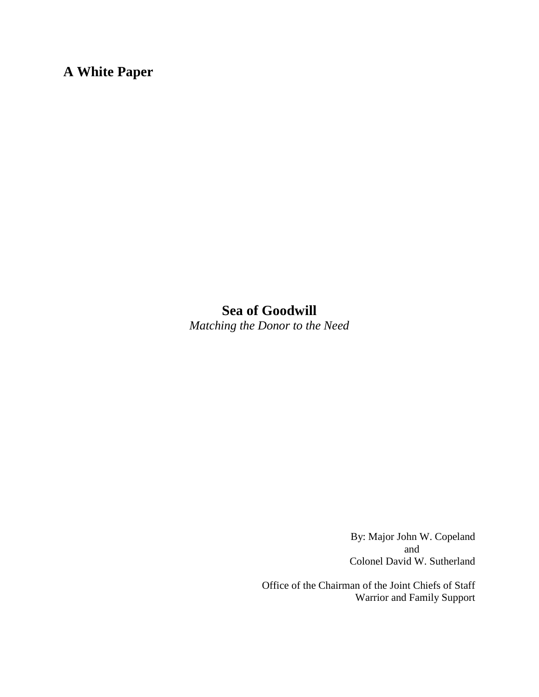# **A White Paper**

## **Sea of Goodwill** *Matching the Donor to the Need*

By: Major John W. Copeland and Colonel David W. Sutherland

Office of the Chairman of the Joint Chiefs of Staff Warrior and Family Support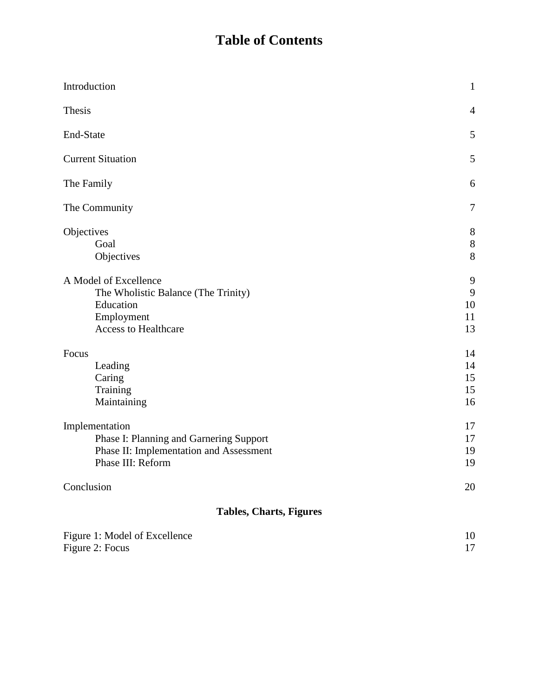# **Table of Contents**

| Introduction                                                                                                              | $\mathbf{1}$               |
|---------------------------------------------------------------------------------------------------------------------------|----------------------------|
| Thesis                                                                                                                    | $\overline{4}$             |
| End-State                                                                                                                 | 5                          |
| <b>Current Situation</b>                                                                                                  | 5                          |
| The Family                                                                                                                | 6                          |
| The Community                                                                                                             | 7                          |
| Objectives<br>Goal<br>Objectives                                                                                          | 8<br>$\,8\,$<br>8          |
| A Model of Excellence<br>The Wholistic Balance (The Trinity)<br>Education<br>Employment<br><b>Access to Healthcare</b>    | 9<br>9<br>10<br>11<br>13   |
| Focus<br>Leading<br>Caring<br>Training<br>Maintaining                                                                     | 14<br>14<br>15<br>15<br>16 |
| Implementation<br>Phase I: Planning and Garnering Support<br>Phase II: Implementation and Assessment<br>Phase III: Reform | 17<br>17<br>19<br>19       |
| Conclusion                                                                                                                | 20                         |
| <b>Tables, Charts, Figures</b>                                                                                            |                            |
| Figure 1: Model of Excellence<br>Figure 2: Focus                                                                          | 10<br>17                   |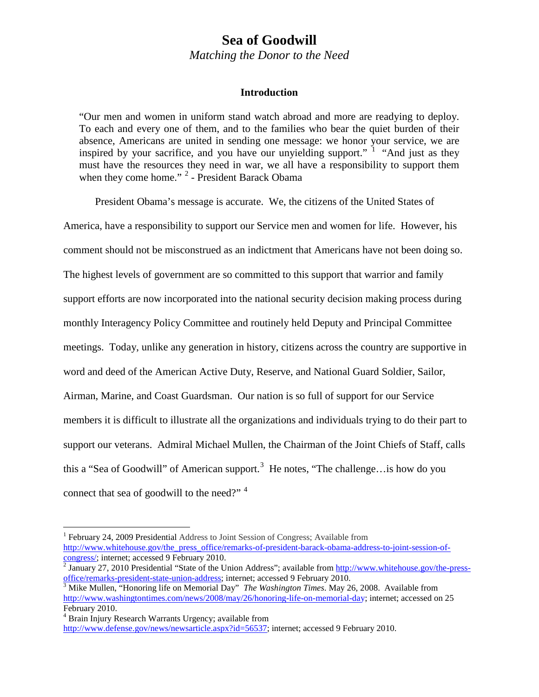## **Sea of Goodwill**

*Matching the Donor to the Need*

## **Introduction**

"Our men and women in uniform stand watch abroad and more are readying to deploy. To each and every one of them, and to the families who bear the quiet burden of their absence, Americans are united in sending one message: we honor your service, we are inspired by your sacrifice, and you have our unyielding support."  $\frac{1}{1}$  $\frac{1}{1}$  $\frac{1}{1}$  "And just as they must have the resources they need in war, we all have a responsibility to support them when they come home." <sup>[2](#page-2-1)</sup> - President Barack Obama

President Obama's message is accurate. We, the citizens of the United States of America, have a responsibility to support our Service men and women for life. However, his comment should not be misconstrued as an indictment that Americans have not been doing so. The highest levels of government are so committed to this support that warrior and family support efforts are now incorporated into the national security decision making process during monthly Interagency Policy Committee and routinely held Deputy and Principal Committee meetings. Today, unlike any generation in history, citizens across the country are supportive in word and deed of the American Active Duty, Reserve, and National Guard Soldier, Sailor, Airman, Marine, and Coast Guardsman. Our nation is so full of support for our Service members it is difficult to illustrate all the organizations and individuals trying to do their part to support our veterans. Admiral Michael Mullen, the Chairman of the Joint Chiefs of Staff, calls this a "Sea of Goodwill" of American support.<sup>[3](#page-2-2)</sup> He notes, "The challenge... is how do you connect that sea of goodwill to the need?"<sup>[4](#page-2-3)</sup>

<span id="page-2-0"></span><sup>&</sup>lt;sup>1</sup> February 24, 2009 Presidential Address to Joint Session of Congress; Available from http://www.whitehouse.gov/the\_press\_office/remarks-of-president-barack-obama-address-to-joint-session-of-<br>congress/; internet; accessed 9 February 2010.

<span id="page-2-1"></span> $\frac{1}{2}$  January 27, 2010 Presidential "State of the Union Address"; available fro[m http://www.whitehouse.gov/the-press](http://www.whitehouse.gov/the-press-office/remarks-president-state-union-address)[office/remarks-president-state-union-address;](http://www.whitehouse.gov/the-press-office/remarks-president-state-union-address) internet; accessed 9 February 2010. [3](http://www.whitehouse.gov/the-press-office/remarks-president-state-union-address) Mike Mullen, "Honoring life on Memorial Day" *The Washington Times*. May 26, 2008. Available from

<span id="page-2-2"></span>[http://www.washingtontimes.com/news/2008/may/26/honoring-life-on-memorial-day](http://www.washingtontimes.com/news/2008/may/26/honoring-life-on-memorial-da); internet; accessed on 25 February 2010.<br><sup>4</sup> Brain Injury Research Warrants Urgency; available from

<span id="page-2-3"></span>

[http://www.defense.gov/news/newsarticle.aspx?id=56537;](http://www.defense.gov/news/newsarticle.aspx?id=56537) internet; accessed 9 February 2010.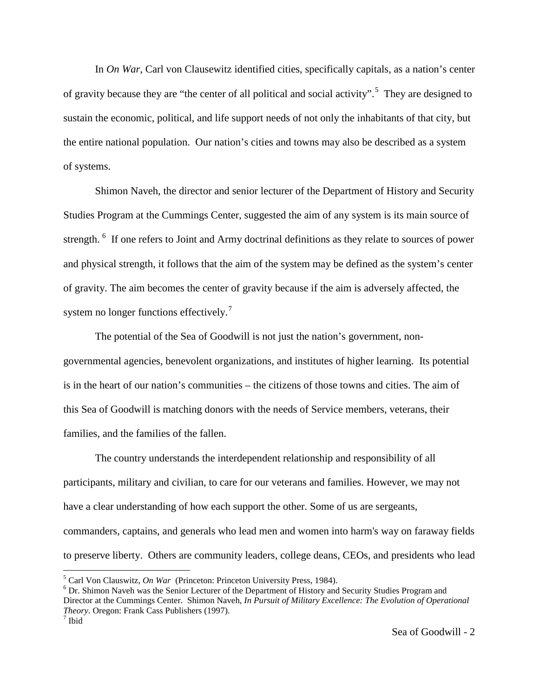In *On War*, Carl von Clausewitz identified cities, specifically capitals, as a nation's center of gravity because they are "the center of all political and social activity".<sup>[5](#page-3-0)</sup> They are designed to sustain the economic, political, and life support needs of not only the inhabitants of that city, but the entire national population. Our nation's cities and towns may also be described as a system of systems.

Shimon Naveh, the director and senior lecturer of the Department of History and Security Studies Program at the Cummings Center, suggested the aim of any system is its main source of strength. <sup>[6](#page-3-1)</sup> If one refers to Joint and Army doctrinal definitions as they relate to sources of power and physical strength, it follows that the aim of the system may be defined as the system's center of gravity. The aim becomes the center of gravity because if the aim is adversely affected, the system no longer functions effectively.<sup>[7](#page-3-2)</sup>

The potential of the Sea of Goodwill is not just the nation's government, nongovernmental agencies, benevolent organizations, and institutes of higher learning. Its potential is in the heart of our nation's communities – the citizens of those towns and cities. The aim of this Sea of Goodwill is matching donors with the needs of Service members, veterans, their families, and the families of the fallen.

The country understands the interdependent relationship and responsibility of all participants, military and civilian, to care for our veterans and families. However, we may not have a clear understanding of how each support the other. Some of us are sergeants, commanders, captains, and generals who lead men and women into harm's way on faraway fields to preserve liberty. Others are community leaders, college deans, CEOs, and presidents who lead

<span id="page-3-2"></span><span id="page-3-1"></span><span id="page-3-0"></span>

<sup>&</sup>lt;sup>5</sup> Carl Von Clauswitz, *On War* (Princeton: Princeton University Press, 1984).<br><sup>6</sup> Dr. Shimon Naveh was the Senior Lecturer of the Department of History and Security Studies Program and Director at the Cummings Center. Shimon Naveh, *In Pursuit of Military Excellence: The Evolution of Operational Theory*. Oregon: Frank Cass Publishers (1997).<sup>7</sup> Ibid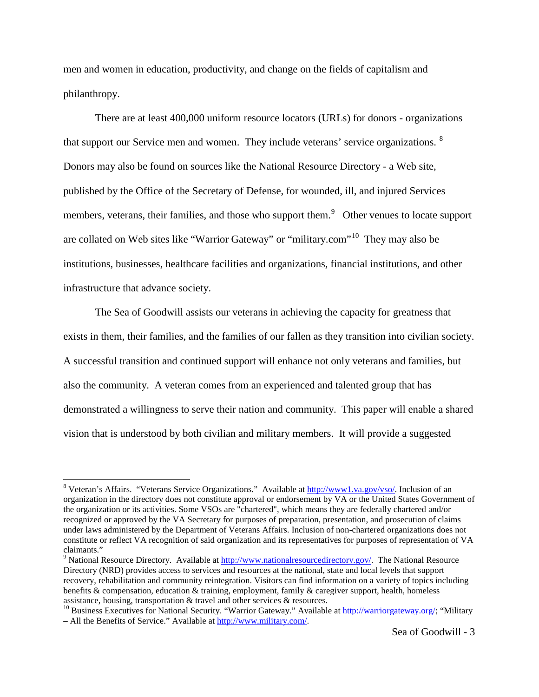men and women in education, productivity, and change on the fields of capitalism and philanthropy.

There are at least 400,000 uniform resource locators (URLs) for donors - organizations that support our Service men and women. They include veterans' service organizations.  $8$ Donors may also be found on sources like the National Resource Directory - a Web site, published by the Office of the Secretary of Defense, for wounded, ill, and injured Services members, veterans, their families, and those who support them.<sup>[9](#page-4-1)</sup> Other venues to locate support are collated on Web sites like "Warrior Gateway" or "military.com"<sup>[10](#page-4-2)</sup> They may also be institutions, businesses, healthcare facilities and organizations, financial institutions, and other infrastructure that advance society.

The Sea of Goodwill assists our veterans in achieving the capacity for greatness that exists in them, their families, and the families of our fallen as they transition into civilian society. A successful transition and continued support will enhance not only veterans and families, but also the community. A veteran comes from an experienced and talented group that has demonstrated a willingness to serve their nation and community. This paper will enable a shared vision that is understood by both civilian and military members. It will provide a suggested

<span id="page-4-0"></span><sup>&</sup>lt;sup>8</sup> Veteran's Affairs. "Veterans Service Organizations." Available at [http://www1.va.gov/vso/.](http://www1.va.gov/vso/) Inclusion of an organization in the directory does not constitute approval or endorsement by VA or the United States Government of the organization or its activities. Some VSOs are "chartered", which means they are federally chartered and/or recognized or approved by the VA Secretary for purposes of preparation, presentation, and prosecution of claims under laws administered by the Department of Veterans Affairs. Inclusion of non-chartered organizations does not constitute or reflect VA recognition of said organization and its representatives for purposes of representation of VA claimants."

<span id="page-4-1"></span><sup>&</sup>lt;sup>9</sup> National Resource Directory. Available at [http://www.nationalresourcedirectory.gov/.](http://www.nationalresourcedirectory.gov/) The National Resource Directory (NRD) provides access to services and resources at the national, state and local levels that support recovery, rehabilitation and community reintegration. Visitors can find information on a variety of topics including benefits & compensation, education & training, employment, family & caregiver support, health, homeless assistance, housing, transportation & travel and other services & resources.

<span id="page-4-2"></span><sup>&</sup>lt;sup>10</sup> Business Executives for National Security. "Warrior Gateway." Available at [http://warriorgateway.org/;](http://warriorgateway.org/) "Military – All the Benefits of Service." Available a[t http://www.military.com/.](http://www.military.com/)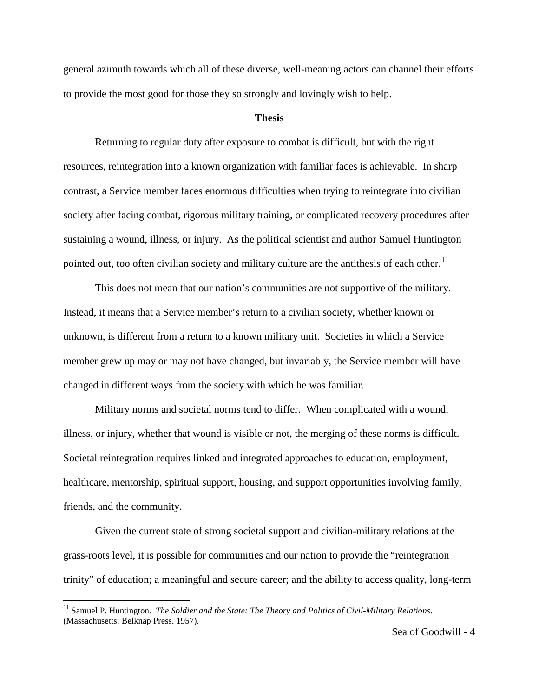general azimuth towards which all of these diverse, well-meaning actors can channel their efforts to provide the most good for those they so strongly and lovingly wish to help.

#### **Thesis**

Returning to regular duty after exposure to combat is difficult, but with the right resources, reintegration into a known organization with familiar faces is achievable. In sharp contrast, a Service member faces enormous difficulties when trying to reintegrate into civilian society after facing combat, rigorous military training, or complicated recovery procedures after sustaining a wound, illness, or injury. As the political scientist and author Samuel Huntington pointed out, too often civilian society and military culture are the antithesis of each other.<sup>[11](#page-5-0)</sup>

This does not mean that our nation's communities are not supportive of the military. Instead, it means that a Service member's return to a civilian society, whether known or unknown, is different from a return to a known military unit. Societies in which a Service member grew up may or may not have changed, but invariably, the Service member will have changed in different ways from the society with which he was familiar.

Military norms and societal norms tend to differ. When complicated with a wound, illness, or injury, whether that wound is visible or not, the merging of these norms is difficult. Societal reintegration requires linked and integrated approaches to education, employment, healthcare, mentorship, spiritual support, housing, and support opportunities involving family, friends, and the community.

Given the current state of strong societal support and civilian-military relations at the grass-roots level, it is possible for communities and our nation to provide the "reintegration trinity" of education; a meaningful and secure career; and the ability to access quality, long-term

<span id="page-5-0"></span><sup>&</sup>lt;sup>11</sup> Samuel P. Huntington. *The Soldier and the State: The Theory and Politics of Civil-Military Relations.* (Massachusetts: Belknap Press. 1957).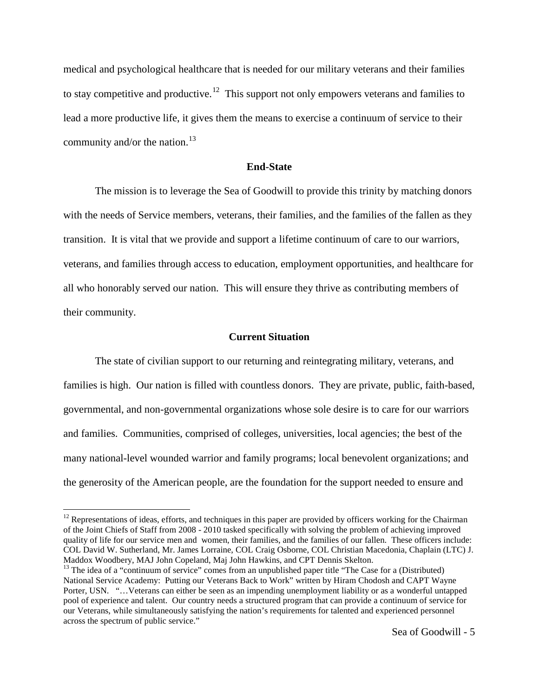medical and psychological healthcare that is needed for our military veterans and their families to stay competitive and productive.<sup>12</sup> This support not only empowers veterans and families to lead a more productive life, it gives them the means to exercise a continuum of service to their community and/or the nation.<sup>[13](#page-6-1)</sup>

## **End-State**

The mission is to leverage the Sea of Goodwill to provide this trinity by matching donors with the needs of Service members, veterans, their families, and the families of the fallen as they transition. It is vital that we provide and support a lifetime continuum of care to our warriors, veterans, and families through access to education, employment opportunities, and healthcare for all who honorably served our nation. This will ensure they thrive as contributing members of their community.

#### **Current Situation**

The state of civilian support to our returning and reintegrating military, veterans, and families is high. Our nation is filled with countless donors. They are private, public, faith-based, governmental, and non-governmental organizations whose sole desire is to care for our warriors and families. Communities, comprised of colleges, universities, local agencies; the best of the many national-level wounded warrior and family programs; local benevolent organizations; and the generosity of the American people, are the foundation for the support needed to ensure and

<span id="page-6-0"></span> $12$  Representations of ideas, efforts, and techniques in this paper are provided by officers working for the Chairman of the Joint Chiefs of Staff from 2008 - 2010 tasked specifically with solving the problem of achieving improved quality of life for our service men and women, their families, and the families of our fallen. These officers include: COL David W. Sutherland, Mr. James Lorraine, COL Craig Osborne, COL Christian Macedonia, Chaplain (LTC) J.

<span id="page-6-1"></span>Maddox Woodbery, MAJ John Copeland, Maj John Hawkins, and CPT Dennis Skelton.<br><sup>13</sup> The idea of a "continuum of service" comes from an unpublished paper title "The Case for a (Distributed) National Service Academy: Putting our Veterans Back to Work" written by Hiram Chodosh and CAPT Wayne Porter, USN. "…Veterans can either be seen as an impending unemployment liability or as a wonderful untapped pool of experience and talent. Our country needs a structured program that can provide a continuum of service for our Veterans, while simultaneously satisfying the nation's requirements for talented and experienced personnel across the spectrum of public service."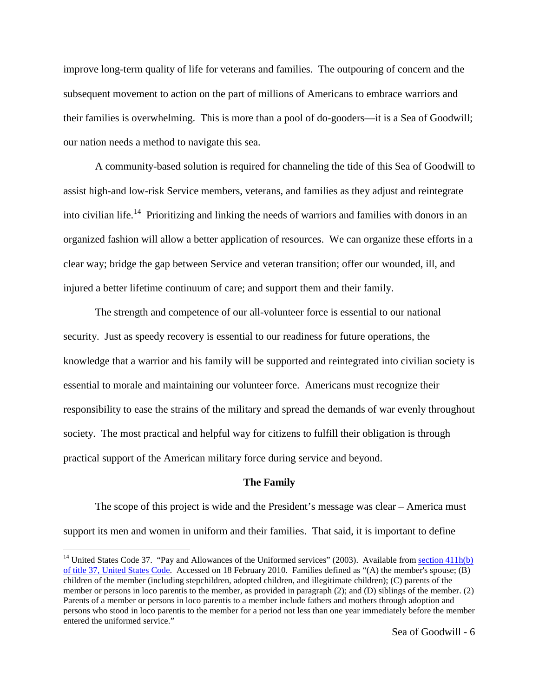improve long-term quality of life for veterans and families. The outpouring of concern and the subsequent movement to action on the part of millions of Americans to embrace warriors and their families is overwhelming. This is more than a pool of do-gooders—it is a Sea of Goodwill; our nation needs a method to navigate this sea.

A community-based solution is required for channeling the tide of this Sea of Goodwill to assist high-and low-risk Service members, veterans, and families as they adjust and reintegrate into civilian life.<sup>[14](#page-7-0)</sup> Prioritizing and linking the needs of warriors and families with donors in an organized fashion will allow a better application of resources. We can organize these efforts in a clear way; bridge the gap between Service and veteran transition; offer our wounded, ill, and injured a better lifetime continuum of care; and support them and their family.

The strength and competence of our all-volunteer force is essential to our national security. Just as speedy recovery is essential to our readiness for future operations, the knowledge that a warrior and his family will be supported and reintegrated into civilian society is essential to morale and maintaining our volunteer force. Americans must recognize their responsibility to ease the strains of the military and spread the demands of war evenly throughout society. The most practical and helpful way for citizens to fulfill their obligation is through practical support of the American military force during service and beyond.

#### **The Family**

The scope of this project is wide and the President's message was clear – America must support its men and women in uniform and their families. That said, it is important to define

<span id="page-7-0"></span><sup>&</sup>lt;sup>14</sup> United States Code 37. "Pay and Allowances of the Uniformed services" (2003). Available from section 411h(b) [of title 37, United States Code.](http://www.law.cornell.edu/usc-cgi/newurl?type=titlesect&title=37§ion=411h)Accessed on 18 February 2010. Families defined as "(A) the member's spouse; (B) children of the member (including stepchildren, adopted children, and illegitimate children); (C) parents of the member or persons in loco parentis to the member, as provided in paragraph (2); and (D) siblings of the member. (2) Parents of a member or persons in loco parentis to a member include fathers and mothers through adoption and persons who stood in loco parentis to the member for a period not less than one year immediately before the member entered the uniformed service."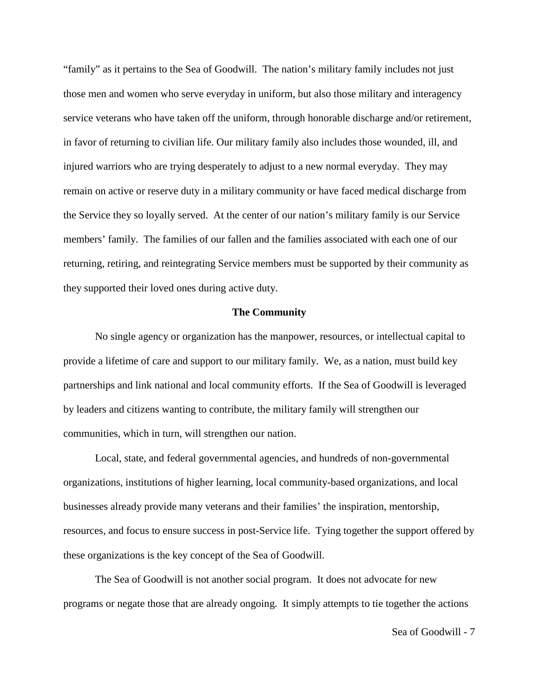"family" as it pertains to the Sea of Goodwill. The nation's military family includes not just those men and women who serve everyday in uniform, but also those military and interagency service veterans who have taken off the uniform, through honorable discharge and/or retirement, in favor of returning to civilian life. Our military family also includes those wounded, ill, and injured warriors who are trying desperately to adjust to a new normal everyday. They may remain on active or reserve duty in a military community or have faced medical discharge from the Service they so loyally served. At the center of our nation's military family is our Service members' family. The families of our fallen and the families associated with each one of our returning, retiring, and reintegrating Service members must be supported by their community as they supported their loved ones during active duty.

### **The Community**

No single agency or organization has the manpower, resources, or intellectual capital to provide a lifetime of care and support to our military family. We, as a nation, must build key partnerships and link national and local community efforts. If the Sea of Goodwill is leveraged by leaders and citizens wanting to contribute, the military family will strengthen our communities, which in turn, will strengthen our nation.

Local, state, and federal governmental agencies, and hundreds of non-governmental organizations, institutions of higher learning, local community-based organizations, and local businesses already provide many veterans and their families' the inspiration, mentorship, resources, and focus to ensure success in post-Service life. Tying together the support offered by these organizations is the key concept of the Sea of Goodwill.

The Sea of Goodwill is not another social program. It does not advocate for new programs or negate those that are already ongoing. It simply attempts to tie together the actions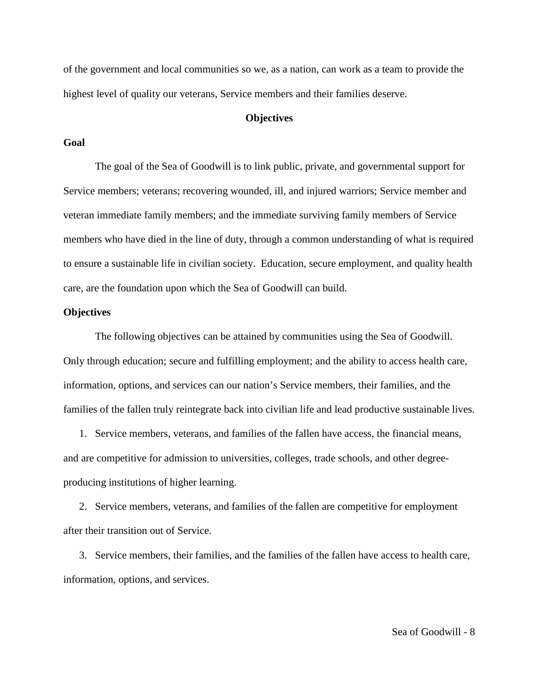of the government and local communities so we, as a nation, can work as a team to provide the highest level of quality our veterans, Service members and their families deserve.

## **Objectives**

## **Goal**

The goal of the Sea of Goodwill is to link public, private, and governmental support for Service members; veterans; recovering wounded, ill, and injured warriors; Service member and veteran immediate family members; and the immediate surviving family members of Service members who have died in the line of duty, through a common understanding of what is required to ensure a sustainable life in civilian society. Education, secure employment, and quality health care, are the foundation upon which the Sea of Goodwill can build.

#### **Objectives**

The following objectives can be attained by communities using the Sea of Goodwill. Only through education; secure and fulfilling employment; and the ability to access health care, information, options, and services can our nation's Service members, their families, and the families of the fallen truly reintegrate back into civilian life and lead productive sustainable lives.

1. Service members, veterans, and families of the fallen have access, the financial means, and are competitive for admission to universities, colleges, trade schools, and other degreeproducing institutions of higher learning.

2. Service members, veterans, and families of the fallen are competitive for employment after their transition out of Service.

3. Service members, their families, and the families of the fallen have access to health care, information, options, and services.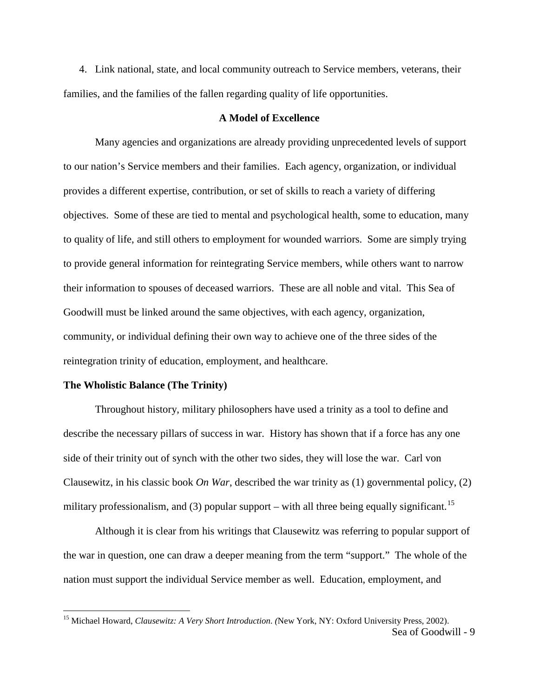4. Link national, state, and local community outreach to Service members, veterans, their families, and the families of the fallen regarding quality of life opportunities.

## **A Model of Excellence**

Many agencies and organizations are already providing unprecedented levels of support to our nation's Service members and their families. Each agency, organization, or individual provides a different expertise, contribution, or set of skills to reach a variety of differing objectives. Some of these are tied to mental and psychological health, some to education, many to quality of life, and still others to employment for wounded warriors. Some are simply trying to provide general information for reintegrating Service members, while others want to narrow their information to spouses of deceased warriors. These are all noble and vital. This Sea of Goodwill must be linked around the same objectives, with each agency, organization, community, or individual defining their own way to achieve one of the three sides of the reintegration trinity of education, employment, and healthcare.

#### **The Wholistic Balance (The Trinity)**

Throughout history, military philosophers have used a trinity as a tool to define and describe the necessary pillars of success in war. History has shown that if a force has any one side of their trinity out of synch with the other two sides, they will lose the war. Carl von Clausewitz, in his classic book *On War*, described the war trinity as (1) governmental policy, (2) military professionalism, and (3) popular support – with all three being equally significant.<sup>[15](#page-10-0)</sup>

Although it is clear from his writings that Clausewitz was referring to popular support of the war in question, one can draw a deeper meaning from the term "support." The whole of the nation must support the individual Service member as well. Education, employment, and

<span id="page-10-0"></span>Sea of Goodwill - 9 15 Michael Howard, *Clausewitz: A Very Short Introduction. (*New York, NY: Oxford University Press, 2002).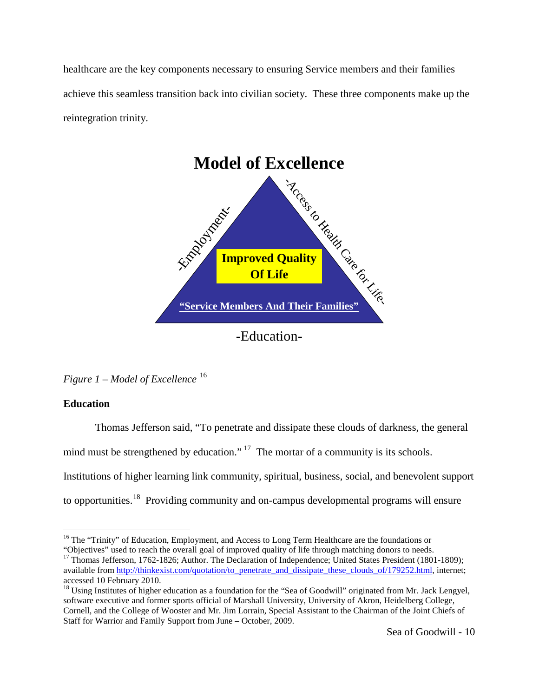healthcare are the key components necessary to ensuring Service members and their families achieve this seamless transition back into civilian society. These three components make up the reintegration trinity.



*Figure 1 – Model of Excellence* [16](#page-11-0)

## **Education**

Thomas Jefferson said, "To penetrate and dissipate these clouds of darkness, the general

mind must be strengthened by education."<sup>[17](#page-11-1)</sup> The mortar of a community is its schools.

Institutions of higher learning link community, spiritual, business, social, and benevolent support

to opportunities.<sup>[18](#page-11-2)</sup> Providing community and on-campus developmental programs will ensure

<span id="page-11-0"></span><sup>&</sup>lt;sup>16</sup> The "Trinity" of Education, Employment, and Access to Long Term Healthcare are the foundations or "Objectives" used to reach the overall goal of improved quality of life through matching donors to needs.

<span id="page-11-1"></span><sup>&</sup>lt;sup>17</sup> Thomas Jefferson, 1762-1826; Author. The Declaration of Independence; United States President (1801-1809); available fro[m http://thinkexist.com/quotation/to\\_penetrate\\_and\\_dissipate\\_these\\_clouds\\_of/179252.html,](http://thinkexist.com/quotation/to_penetrate_and_dissipate_these_clouds_of/179252.html) internet; accessed 10 February 2010.

<span id="page-11-2"></span><sup>&</sup>lt;sup>18</sup> Using Institutes of higher education as a foundation for the "Sea of Goodwill" originated from Mr. Jack Lengyel, software executive and former sports official of Marshall University, University of Akron, Heidelberg College, Cornell, and the College of Wooster and Mr. Jim Lorrain, Special Assistant to the Chairman of the Joint Chiefs of Staff for Warrior and Family Support from June – October, 2009.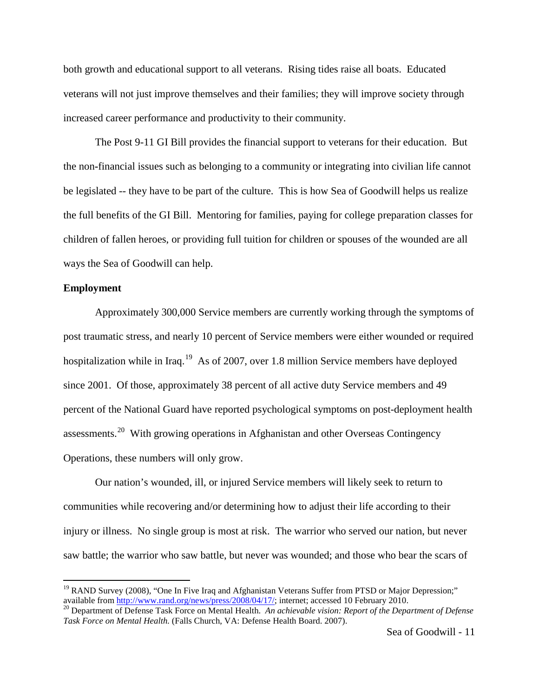both growth and educational support to all veterans. Rising tides raise all boats. Educated veterans will not just improve themselves and their families; they will improve society through increased career performance and productivity to their community.

The Post 9-11 GI Bill provides the financial support to veterans for their education. But the non**-**financial issues such as belonging to a community or integrating into civilian life cannot be legislated -- they have to be part of the culture. This is how Sea of Goodwill helps us realize the full benefits of the GI Bill. Mentoring for families, paying for college preparation classes for children of fallen heroes, or providing full tuition for children or spouses of the wounded are all ways the Sea of Goodwill can help.

## **Employment**

Approximately 300,000 Service members are currently working through the symptoms of post traumatic stress, and nearly 10 percent of Service members were either wounded or required hospitalization while in Iraq.<sup>[19](#page-12-0)</sup> As of 2007, over 1.8 million Service members have deployed since 2001. Of those, approximately 38 percent of all active duty Service members and 49 percent of the National Guard have reported psychological symptoms on post-deployment health assessments.<sup>[20](#page-12-1)</sup> With growing operations in Afghanistan and other Overseas Contingency Operations, these numbers will only grow.

Our nation's wounded, ill, or injured Service members will likely seek to return to communities while recovering and/or determining how to adjust their life according to their injury or illness. No single group is most at risk. The warrior who served our nation, but never saw battle; the warrior who saw battle, but never was wounded; and those who bear the scars of

<span id="page-12-0"></span><sup>&</sup>lt;sup>19</sup> RAND Survey (2008), "One In Five Iraq and Afghanistan Veterans Suffer from PTSD or Major Depression;" available from  $\frac{http://www.random.org/news/press/2008/04/17/}{$ ; internet; accessed 10 February 2010.

<span id="page-12-1"></span><sup>&</sup>lt;sup>20</sup> Department of Defense Task Force on Mental Health. *An achievable vision: Report of the Department of Defense Task Force on Mental Health.* (Falls Church, VA: Defense Health Board. 2007).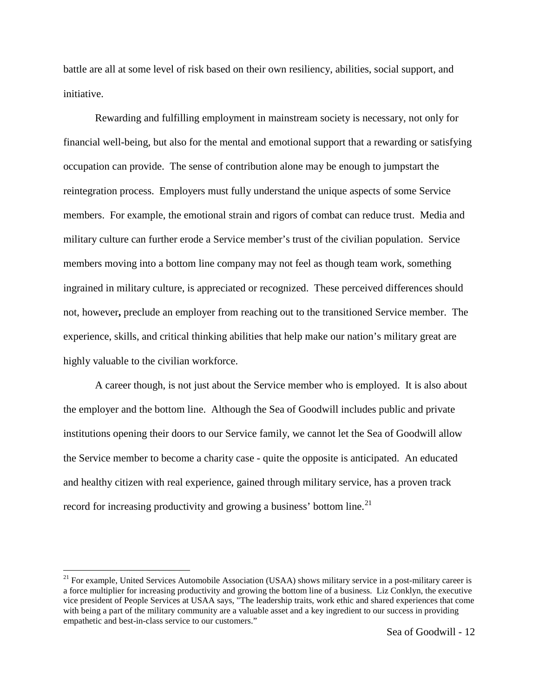battle are all at some level of risk based on their own resiliency, abilities, social support, and initiative.

Rewarding and fulfilling employment in mainstream society is necessary, not only for financial well-being, but also for the mental and emotional support that a rewarding or satisfying occupation can provide. The sense of contribution alone may be enough to jumpstart the reintegration process. Employers must fully understand the unique aspects of some Service members. For example, the emotional strain and rigors of combat can reduce trust. Media and military culture can further erode a Service member's trust of the civilian population. Service members moving into a bottom line company may not feel as though team work, something ingrained in military culture, is appreciated or recognized. These perceived differences should not, however**,** preclude an employer from reaching out to the transitioned Service member. The experience, skills, and critical thinking abilities that help make our nation's military great are highly valuable to the civilian workforce.

A career though, is not just about the Service member who is employed. It is also about the employer and the bottom line. Although the Sea of Goodwill includes public and private institutions opening their doors to our Service family, we cannot let the Sea of Goodwill allow the Service member to become a charity case - quite the opposite is anticipated. An educated and healthy citizen with real experience, gained through military service, has a proven track record for increasing productivity and growing a business' bottom line.<sup>[21](#page-13-0)</sup>

<span id="page-13-0"></span><sup>&</sup>lt;sup>21</sup> For example, United Services Automobile Association (USAA) shows military service in a post-military career is a force multiplier for increasing productivity and growing the bottom line of a business. Liz Conklyn, the executive vice president of People Services at USAA says, "The leadership traits, work ethic and shared experiences that come with being a part of the military community are a valuable asset and a key ingredient to our success in providing empathetic and best-in-class service to our customers."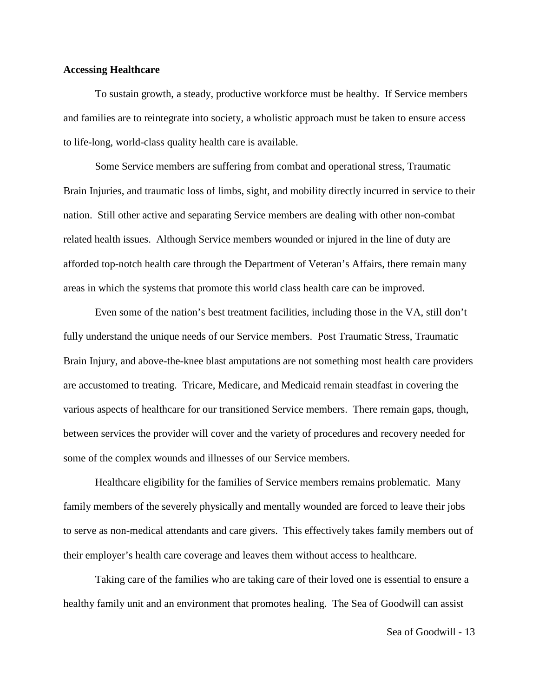## **Accessing Healthcare**

To sustain growth, a steady, productive workforce must be healthy. If Service members and families are to reintegrate into society, a wholistic approach must be taken to ensure access to life-long, world-class quality health care is available.

Some Service members are suffering from combat and operational stress, Traumatic Brain Injuries, and traumatic loss of limbs, sight, and mobility directly incurred in service to their nation. Still other active and separating Service members are dealing with other non-combat related health issues. Although Service members wounded or injured in the line of duty are afforded top-notch health care through the Department of Veteran's Affairs, there remain many areas in which the systems that promote this world class health care can be improved.

Even some of the nation's best treatment facilities, including those in the VA, still don't fully understand the unique needs of our Service members. Post Traumatic Stress, Traumatic Brain Injury, and above-the-knee blast amputations are not something most health care providers are accustomed to treating. Tricare, Medicare, and Medicaid remain steadfast in covering the various aspects of healthcare for our transitioned Service members. There remain gaps, though, between services the provider will cover and the variety of procedures and recovery needed for some of the complex wounds and illnesses of our Service members.

Healthcare eligibility for the families of Service members remains problematic. Many family members of the severely physically and mentally wounded are forced to leave their jobs to serve as non-medical attendants and care givers. This effectively takes family members out of their employer's health care coverage and leaves them without access to healthcare.

Taking care of the families who are taking care of their loved one is essential to ensure a healthy family unit and an environment that promotes healing. The Sea of Goodwill can assist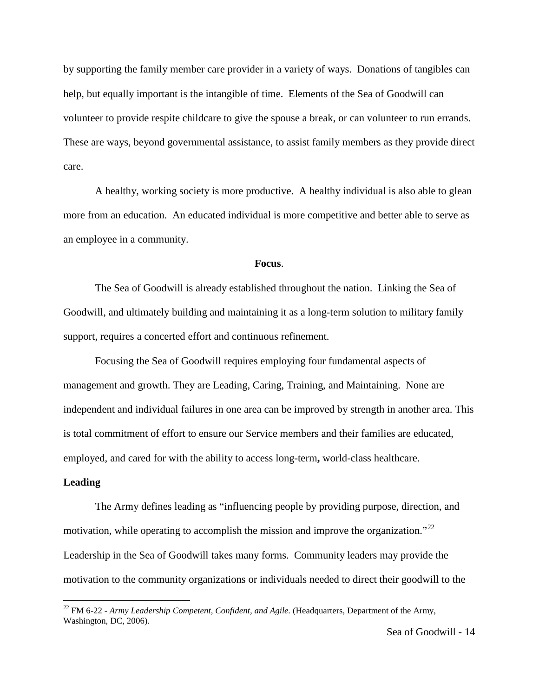by supporting the family member care provider in a variety of ways. Donations of tangibles can help, but equally important is the intangible of time. Elements of the Sea of Goodwill can volunteer to provide respite childcare to give the spouse a break, or can volunteer to run errands. These are ways, beyond governmental assistance, to assist family members as they provide direct care.

A healthy, working society is more productive. A healthy individual is also able to glean more from an education. An educated individual is more competitive and better able to serve as an employee in a community.

#### **Focus**.

The Sea of Goodwill is already established throughout the nation. Linking the Sea of Goodwill, and ultimately building and maintaining it as a long-term solution to military family support, requires a concerted effort and continuous refinement.

Focusing the Sea of Goodwill requires employing four fundamental aspects of management and growth. They are Leading, Caring, Training, and Maintaining. None are independent and individual failures in one area can be improved by strength in another area. This is total commitment of effort to ensure our Service members and their families are educated, employed, and cared for with the ability to access long-term**,** world-class healthcare.

## **Leading**

The Army defines leading as "influencing people by providing purpose, direction, and motivation, while operating to accomplish the mission and improve the organization."<sup>[22](#page-15-0)</sup> Leadership in the Sea of Goodwill takes many forms. Community leaders may provide the motivation to the community organizations or individuals needed to direct their goodwill to the

<span id="page-15-0"></span> <sup>22</sup> FM 6-22 - *Army Leadership Competent, Confident, and Agile.* (Headquarters, Department of the Army, Washington, DC, 2006).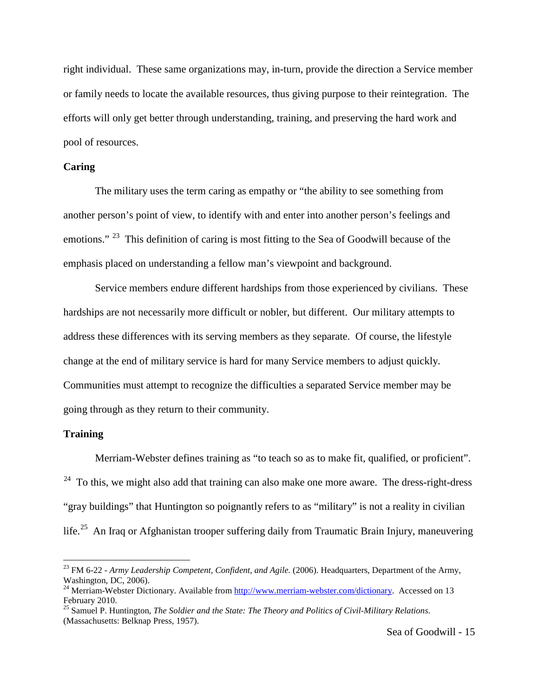right individual. These same organizations may, in-turn, provide the direction a Service member or family needs to locate the available resources, thus giving purpose to their reintegration. The efforts will only get better through understanding, training, and preserving the hard work and pool of resources.

## **Caring**

The military uses the term caring as empathy or "the ability to see something from another person's point of view, to identify with and enter into another person's feelings and emotions." <sup>[23](#page-16-0)</sup> This definition of caring is most fitting to the Sea of Goodwill because of the emphasis placed on understanding a fellow man's viewpoint and background.

Service members endure different hardships from those experienced by civilians. These hardships are not necessarily more difficult or nobler, but different. Our military attempts to address these differences with its serving members as they separate. Of course, the lifestyle change at the end of military service is hard for many Service members to adjust quickly. Communities must attempt to recognize the difficulties a separated Service member may be going through as they return to their community.

### **Training**

Merriam-Webster defines training as "to teach so as to make fit, qualified, or proficient".  $24$  To this, we might also add that training can also make one more aware. The dress-right-dress "gray buildings" that Huntington so poignantly refers to as "military" is not a reality in civilian life.<sup>[25](#page-16-2)</sup> An Iraq or Afghanistan trooper suffering daily from Traumatic Brain Injury, maneuvering

<span id="page-16-0"></span> <sup>23</sup> FM 6-22 - *Army Leadership Competent, Confident, and Agile.* (2006). Headquarters, Department of the Army, Washington, DC, 2006).

<span id="page-16-1"></span><sup>&</sup>lt;sup>24</sup> Merriam-Webster Dictionary. Available from [http://www.merriam-webster.com/dictionary.](http://www.merriam-webster.com/dictionary) Accessed on 13 February 2010.

<span id="page-16-2"></span><sup>25</sup> Samuel P. Huntington, *The Soldier and the State: The Theory and Politics of Civil-Military Relations*. (Massachusetts: Belknap Press, 1957).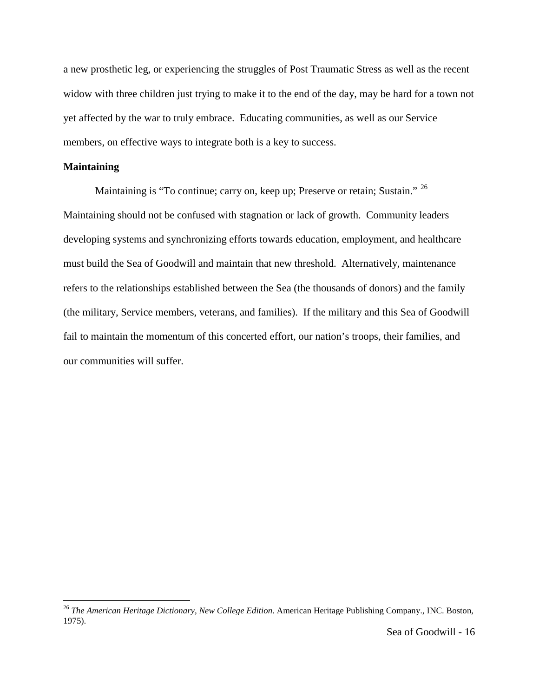a new prosthetic leg, or experiencing the struggles of Post Traumatic Stress as well as the recent widow with three children just trying to make it to the end of the day, may be hard for a town not yet affected by the war to truly embrace. Educating communities, as well as our Service members, on effective ways to integrate both is a key to success.

## **Maintaining**

Maintaining is "To continue; carry on, keep up; Preserve or retain; Sustain." <sup>[26](#page-17-0)</sup> Maintaining should not be confused with stagnation or lack of growth. Community leaders developing systems and synchronizing efforts towards education, employment, and healthcare must build the Sea of Goodwill and maintain that new threshold. Alternatively, maintenance refers to the relationships established between the Sea (the thousands of donors) and the family (the military, Service members, veterans, and families). If the military and this Sea of Goodwill fail to maintain the momentum of this concerted effort, our nation's troops, their families, and our communities will suffer.

<span id="page-17-0"></span> <sup>26</sup> *The American Heritage Dictionary, New College Edition*. American Heritage Publishing Company., INC. Boston, 1975).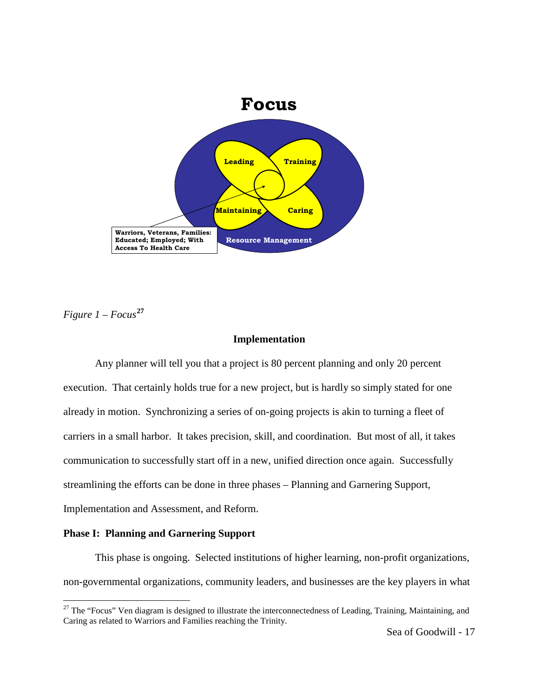

*Figure 1 – Focus***[27](#page-18-0)**

## **Implementation**

Any planner will tell you that a project is 80 percent planning and only 20 percent execution. That certainly holds true for a new project, but is hardly so simply stated for one already in motion. Synchronizing a series of on-going projects is akin to turning a fleet of carriers in a small harbor. It takes precision, skill, and coordination. But most of all, it takes communication to successfully start off in a new, unified direction once again. Successfully streamlining the efforts can be done in three phases – Planning and Garnering Support, Implementation and Assessment, and Reform.

## **Phase I: Planning and Garnering Support**

This phase is ongoing. Selected institutions of higher learning, non-profit organizations, non-governmental organizations, community leaders, and businesses are the key players in what

<span id="page-18-0"></span> $27$  The "Focus" Ven diagram is designed to illustrate the interconnectedness of Leading, Training, Maintaining, and Caring as related to Warriors and Families reaching the Trinity.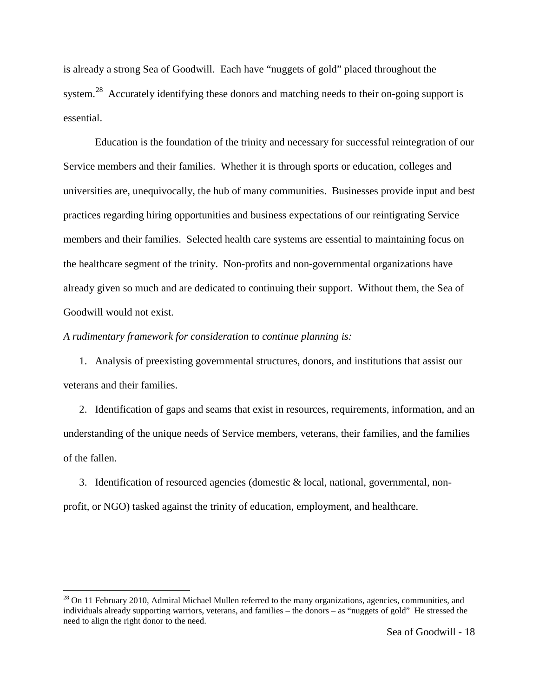is already a strong Sea of Goodwill. Each have "nuggets of gold" placed throughout the system.<sup>[28](#page-19-0)</sup> Accurately identifying these donors and matching needs to their on-going support is essential.

Education is the foundation of the trinity and necessary for successful reintegration of our Service members and their families. Whether it is through sports or education, colleges and universities are, unequivocally, the hub of many communities. Businesses provide input and best practices regarding hiring opportunities and business expectations of our reintigrating Service members and their families. Selected health care systems are essential to maintaining focus on the healthcare segment of the trinity. Non-profits and non-governmental organizations have already given so much and are dedicated to continuing their support. Without them, the Sea of Goodwill would not exist.

*A rudimentary framework for consideration to continue planning is:* 

1. Analysis of preexisting governmental structures, donors, and institutions that assist our veterans and their families.

2. Identification of gaps and seams that exist in resources, requirements, information, and an understanding of the unique needs of Service members, veterans, their families, and the families of the fallen.

3. Identification of resourced agencies (domestic & local, national, governmental, nonprofit, or NGO) tasked against the trinity of education, employment, and healthcare.

<span id="page-19-0"></span><sup>&</sup>lt;sup>28</sup> On 11 February 2010, Admiral Michael Mullen referred to the many organizations, agencies, communities, and individuals already supporting warriors, veterans, and families – the donors – as "nuggets of gold" He stressed the need to align the right donor to the need.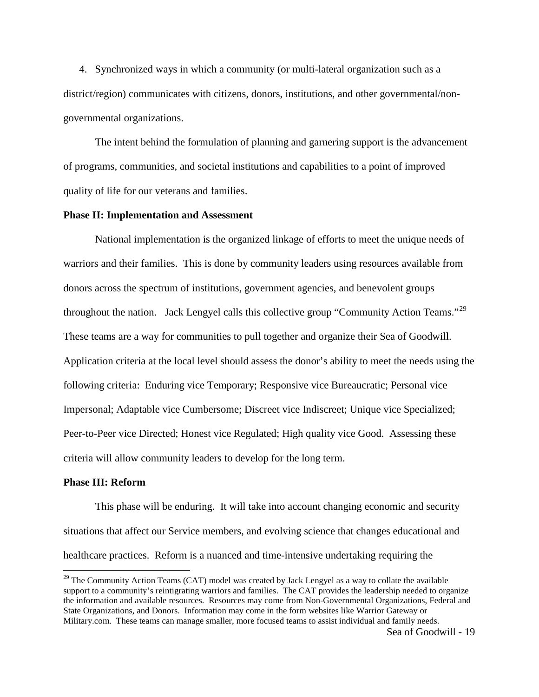4. Synchronized ways in which a community (or multi-lateral organization such as a district/region) communicates with citizens, donors, institutions, and other governmental/nongovernmental organizations.

The intent behind the formulation of planning and garnering support is the advancement of programs, communities, and societal institutions and capabilities to a point of improved quality of life for our veterans and families.

### **Phase II: Implementation and Assessment**

National implementation is the organized linkage of efforts to meet the unique needs of warriors and their families. This is done by community leaders using resources available from donors across the spectrum of institutions, government agencies, and benevolent groups throughout the nation. Jack Lengyel calls this collective group "Community Action Teams."<sup>[29](#page-20-0)</sup> These teams are a way for communities to pull together and organize their Sea of Goodwill. Application criteria at the local level should assess the donor's ability to meet the needs using the following criteria: Enduring vice Temporary; Responsive vice Bureaucratic; Personal vice Impersonal; Adaptable vice Cumbersome; Discreet vice Indiscreet; Unique vice Specialized; Peer-to-Peer vice Directed; Honest vice Regulated; High quality vice Good. Assessing these criteria will allow community leaders to develop for the long term.

#### **Phase III: Reform**

This phase will be enduring. It will take into account changing economic and security situations that affect our Service members, and evolving science that changes educational and healthcare practices. Reform is a nuanced and time-intensive undertaking requiring the

<span id="page-20-0"></span> $29$  The Community Action Teams (CAT) model was created by Jack Lengyel as a way to collate the available support to a community's reintigrating warriors and families. The CAT provides the leadership needed to organize the information and available resources. Resources may come from Non-Governmental Organizations, Federal and State Organizations, and Donors. Information may come in the form websites like Warrior Gateway or Military.com. These teams can manage smaller, more focused teams to assist individual and family needs.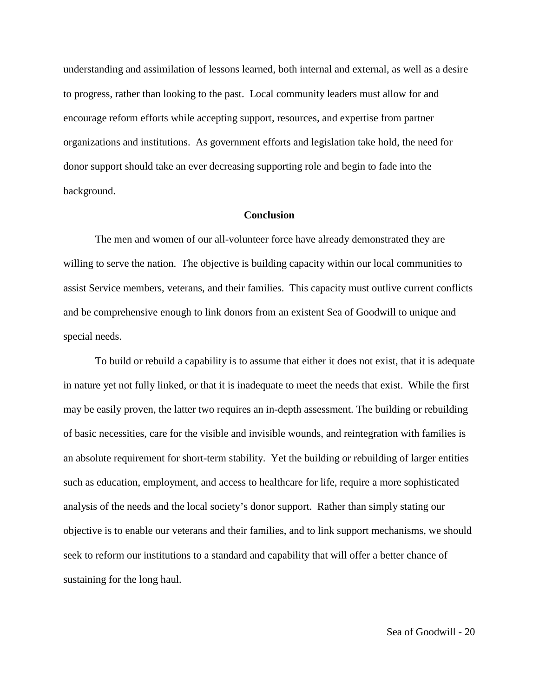understanding and assimilation of lessons learned, both internal and external, as well as a desire to progress, rather than looking to the past. Local community leaders must allow for and encourage reform efforts while accepting support, resources, and expertise from partner organizations and institutions. As government efforts and legislation take hold, the need for donor support should take an ever decreasing supporting role and begin to fade into the background.

## **Conclusion**

The men and women of our all-volunteer force have already demonstrated they are willing to serve the nation. The objective is building capacity within our local communities to assist Service members, veterans, and their families. This capacity must outlive current conflicts and be comprehensive enough to link donors from an existent Sea of Goodwill to unique and special needs.

To build or rebuild a capability is to assume that either it does not exist, that it is adequate in nature yet not fully linked, or that it is inadequate to meet the needs that exist. While the first may be easily proven, the latter two requires an in-depth assessment. The building or rebuilding of basic necessities, care for the visible and invisible wounds, and reintegration with families is an absolute requirement for short-term stability. Yet the building or rebuilding of larger entities such as education, employment, and access to healthcare for life, require a more sophisticated analysis of the needs and the local society's donor support. Rather than simply stating our objective is to enable our veterans and their families, and to link support mechanisms, we should seek to reform our institutions to a standard and capability that will offer a better chance of sustaining for the long haul.